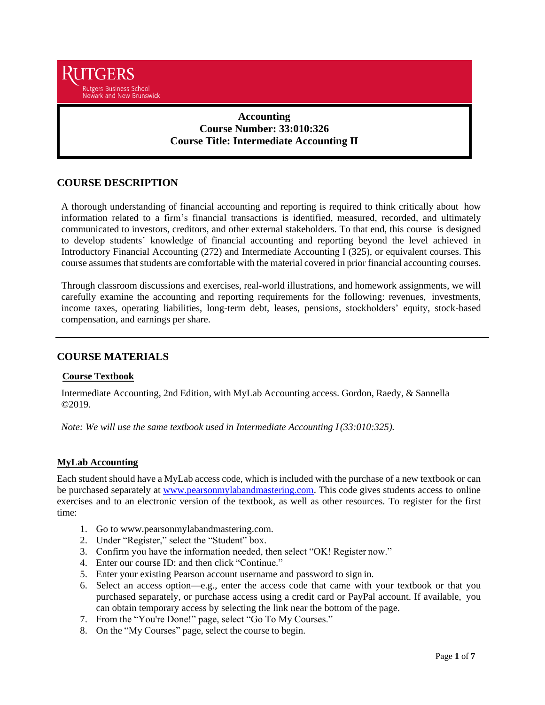

# **Accounting Course Number: 33:010:326 Course Title: Intermediate Accounting II**

# **COURSE DESCRIPTION**

A thorough understanding of financial accounting and reporting is required to think critically about how information related to a firm's financial transactions is identified, measured, recorded, and ultimately communicated to investors, creditors, and other external stakeholders. To that end, this course is designed to develop students' knowledge of financial accounting and reporting beyond the level achieved in Introductory Financial Accounting (272) and Intermediate Accounting I (325), or equivalent courses. This course assumes that students are comfortable with the material covered in prior financial accounting courses.

Through classroom discussions and exercises, real-world illustrations, and homework assignments, we will carefully examine the accounting and reporting requirements for the following: revenues, investments, income taxes, operating liabilities, long-term debt, leases, pensions, stockholders' equity, stock-based compensation, and earnings per share.

## **COURSE MATERIALS**

## **Course Textbook**

Intermediate Accounting, 2nd Edition, with MyLab Accounting access. Gordon, Raedy, & Sannella ©2019.

*Note: We will use the same textbook used in Intermediate Accounting I(33:010:325).*

## **MyLab Accounting**

Each student should have a MyLab access code, which is included with the purchase of a new textbook or can be purchased separately at [www.pearsonmylabandmastering.com.](http://www.pearsonmylabandmastering.com/) This code gives students access to online exercises and to an electronic version of the textbook, as well as other resources. To register for the first time:

- 1. Go to [www.pearsonmylabandmastering.com.](http://www.pearsonmylabandmastering.com/)
- 2. Under "Register," select the "Student" box.
- 3. Confirm you have the information needed, then select "OK! Register now."
- 4. Enter our course ID: and then click "Continue."
- 5. Enter your existing Pearson account username and password to sign in.
- 6. Select an access option—e.g., enter the access code that came with your textbook or that you purchased separately, or purchase access using a credit card or PayPal account. If available, you can obtain temporary access by selecting the link near the bottom of the page.
- 7. From the "You're Done!" page, select "Go To My Courses."
- 8. On the "My Courses" page, select the course to begin.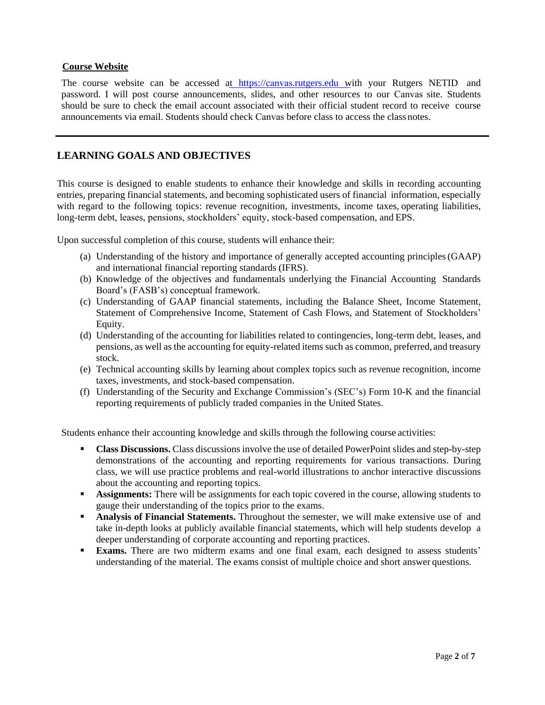## **Course Website**

The course website can be accessed at https://canvas[.rutgers.edu](https://blackboard.rutgers.edu/) with your Rutgers NETID and password. I will post course announcements, slides, and other resources to our Canvas site. Students should be sure to check the email account associated with their official student record to receive course announcements via email. Students should check Canvas before class to access the class notes.

# **LEARNING GOALS AND OBJECTIVES**

This course is designed to enable students to enhance their knowledge and skills in recording accounting entries, preparing financial statements, and becoming sophisticated users of financial information, especially with regard to the following topics: revenue recognition, investments, income taxes, operating liabilities, long-term debt, leases, pensions, stockholders' equity, stock-based compensation, and EPS.

Upon successful completion of this course, students will enhance their:

- (a) Understanding of the history and importance of generally accepted accounting principles(GAAP) and international financial reporting standards (IFRS).
- (b) Knowledge of the objectives and fundamentals underlying the Financial Accounting Standards Board's (FASB's) conceptual framework.
- (c) Understanding of GAAP financial statements, including the Balance Sheet, Income Statement, Statement of Comprehensive Income, Statement of Cash Flows, and Statement of Stockholders' Equity.
- (d) Understanding of the accounting for liabilities related to contingencies, long-term debt, leases, and pensions, as well as the accounting for equity-related items such as common, preferred, and treasury stock.
- (e) Technical accounting skills by learning about complex topics such as revenue recognition, income taxes, investments, and stock-based compensation.
- (f) Understanding of the Security and Exchange Commission's (SEC's) Form 10-K and the financial reporting requirements of publicly traded companies in the United States.

Students enhance their accounting knowledge and skills through the following course activities:

- **Class Discussions.** Class discussions involve the use of detailed PowerPoint slides and step-by-step demonstrations of the accounting and reporting requirements for various transactions. During class, we will use practice problems and real-world illustrations to anchor interactive discussions about the accounting and reporting topics.
- **Assignments:** There will be assignments for each topic covered in the course, allowing students to gauge their understanding of the topics prior to the exams.
- **Analysis of Financial Statements.** Throughout the semester, we will make extensive use of and take in-depth looks at publicly available financial statements, which will help students develop a deeper understanding of corporate accounting and reporting practices.
- **Exams.** There are two midterm exams and one final exam, each designed to assess students' understanding of the material. The exams consist of multiple choice and short answer questions.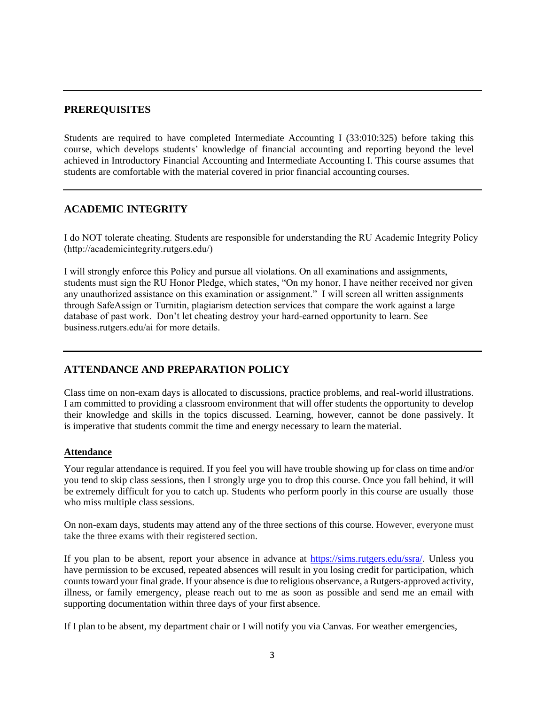# **PREREQUISITES**

Students are required to have completed Intermediate Accounting I (33:010:325) before taking this course, which develops students' knowledge of financial accounting and reporting beyond the level achieved in Introductory Financial Accounting and Intermediate Accounting I. This course assumes that students are comfortable with the material covered in prior financial accounting courses.

## **ACADEMIC INTEGRITY**

I do NOT tolerate cheating. Students are responsible for understanding the RU Academic Integrity Policy (http://academicintegrity.rutgers.edu/)

[I will strongly enforce this Policy and pursue all violati](https://slwordpress.rutgers.edu/academicintegrity/wp-content/uploads/sites/41/2014/11/AI_Policy_2013.pdf)ons. On all examinations and assignments, students must sign the RU Honor Pledge, which states, "On my honor, I have neither received nor given any unauthorized assistance on this examination or assignment." I will screen all written assignments through SafeAssign or Turnitin, plagiarism detection services that compare the work against a large database of past work. Don't let cheating destroy your hard-earned opportunity to learn. See [business.rutgers.edu/ai](http://www.business.rutgers.edu/ai) for more details.

# **ATTENDANCE AND PREPARATION POLICY**

Class time on non-exam days is allocated to discussions, practice problems, and real-world illustrations. I am committed to providing a classroom environment that will offer students the opportunity to develop their knowledge and skills in the topics discussed. Learning, however, cannot be done passively. It is imperative that students commit the time and energy necessary to learn the material.

#### **Attendance**

Your regular attendance is required. If you feel you will have trouble showing up for class on time and/or you tend to skip class sessions, then I strongly urge you to drop this course. Once you fall behind, it will be extremely difficult for you to catch up. Students who perform poorly in this course are usually those who miss multiple class sessions.

On non-exam days, students may attend any of the three sections of this course. However, everyone must take the three exams with their registered section.

If you plan to be absent, report your absence in advance at [https://sims.rutgers.edu/ssra/.](https://sims.rutgers.edu/ssra/) Unless you have permission to be excused, repeated absences will result in you losing credit for participation, which counts toward your final grade. If your absence is due to religious observance, a Rutgers-approved activity, illness, or family emergency, please reach out to me as soon as possible and send me an email with supporting documentation within three days of your first absence.

If I plan to be absent, my department chair or I will notify you via Canvas. For weather emergencies,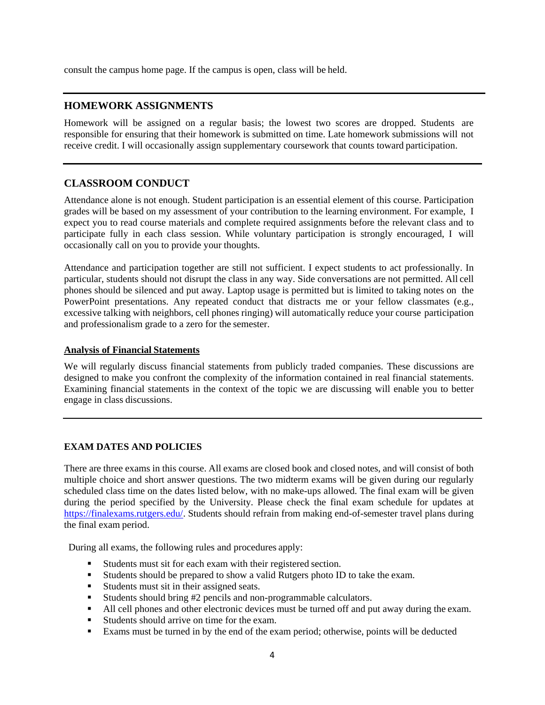consult the campus home page. If the campus is open, class will be held.

## **HOMEWORK ASSIGNMENTS**

Homework will be assigned on a regular basis; the lowest two scores are dropped. Students are responsible for ensuring that their homework is submitted on time. Late homework submissions will not receive credit. I will occasionally assign supplementary coursework that counts toward participation.

# **CLASSROOM CONDUCT**

Attendance alone is not enough. Student participation is an essential element of this course. Participation grades will be based on my assessment of your contribution to the learning environment. For example, I expect you to read course materials and complete required assignments before the relevant class and to participate fully in each class session. While voluntary participation is strongly encouraged, I will occasionally call on you to provide your thoughts.

Attendance and participation together are still not sufficient. I expect students to act professionally. In particular, students should not disrupt the class in any way. Side conversations are not permitted. All cell phones should be silenced and put away. Laptop usage is permitted but is limited to taking notes on the PowerPoint presentations. Any repeated conduct that distracts me or your fellow classmates (e.g., excessive talking with neighbors, cell phones ringing) will automatically reduce your course participation and professionalism grade to a zero for the semester.

### **Analysis of Financial Statements**

We will regularly discuss financial statements from publicly traded companies. These discussions are designed to make you confront the complexity of the information contained in real financial statements. Examining financial statements in the context of the topic we are discussing will enable you to better engage in class discussions.

## **EXAM DATES AND POLICIES**

There are three exams in this course. All exams are closed book and closed notes, and will consist of both multiple choice and short answer questions. The two midterm exams will be given during our regularly scheduled class time on the dates listed below, with no make-ups allowed. The final exam will be given during the period specified by the University. Please check the final exam schedule for updates at [https://finalexams.rutgers.edu/.](https://finalexams.rutgers.edu/) Students should refrain from making end-of-semester travel plans during the final exam period.

During all exams, the following rules and procedures apply:

- Students must sit for each exam with their registered section.
- Students should be prepared to show a valid Rutgers photo ID to take the exam.
- Students must sit in their assigned seats.
- Students should bring #2 pencils and non-programmable calculators.
- All cell phones and other electronic devices must be turned off and put away during the exam.
- Students should arrive on time for the exam.
- Exams must be turned in by the end of the exam period; otherwise, points will be deducted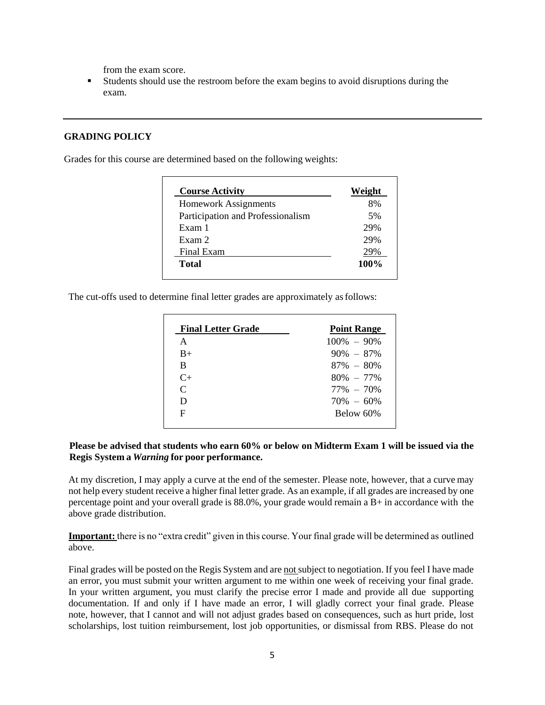from the exam score.

 Students should use the restroom before the exam begins to avoid disruptions during the exam.

## **GRADING POLICY**

Grades for this course are determined based on the following weights:

| <b>Course Activity</b>            | Weight  |
|-----------------------------------|---------|
| <b>Homework Assignments</b>       | 8%      |
| Participation and Professionalism | 5%      |
| Exam 1                            | 29%     |
| Exam 2                            | 29%     |
| Final Exam                        |         |
| Total                             | $100\%$ |

The cut-offs used to determine final letter grades are approximately asfollows:

| <b>Final Letter Grade</b> | <b>Point Range</b> |
|---------------------------|--------------------|
| A                         | $100\% - 90\%$     |
| $B+$                      | $90\% - 87\%$      |
| B                         | $87\% - 80\%$      |
| $C_{+}$                   | $80\% - 77\%$      |
| $\mathsf{C}$              | $77\% - 70\%$      |
| D                         | $70\% - 60\%$      |
| F                         | Below 60%          |
|                           |                    |

## Please be advised that students who earn 60% or below on Midterm Exam 1 will be issued via the **Regis System a** *Warning* **for poor performance.**

At my discretion, I may apply a curve at the end of the semester. Please note, however, that a curve may not help every student receive a higher final letter grade. As an example, if all grades are increased by one percentage point and your overall grade is  $88.0\%$ , your grade would remain a B+ in accordance with the above grade distribution.

**Important:** there is no "extra credit" given in this course. Your final grade will be determined as outlined above.

Final grades will be posted on the Regis System and are not subject to negotiation. If you feel I have made an error, you must submit your written argument to me within one week of receiving your final grade. In your written argument, you must clarify the precise error I made and provide all due supporting documentation. If and only if I have made an error, I will gladly correct your final grade. Please note, however, that I cannot and will not adjust grades based on consequences, such as hurt pride, lost scholarships, lost tuition reimbursement, lost job opportunities, or dismissal from RBS. Please do not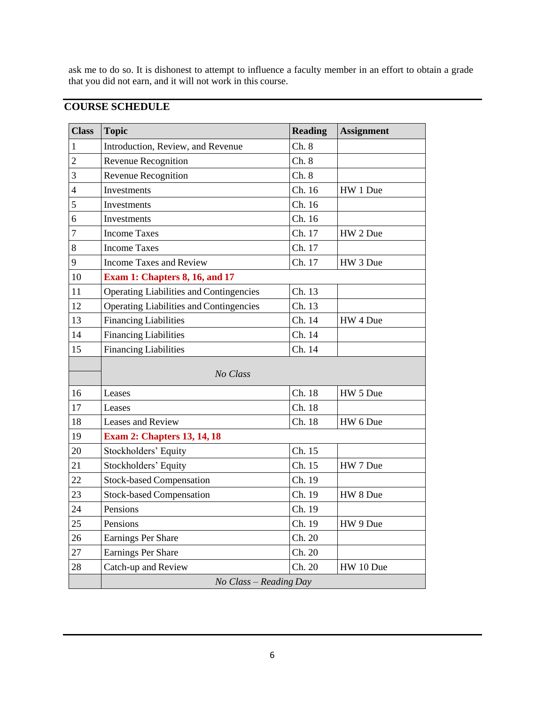ask me to do so. It is dishonest to attempt to influence a faculty member in an effort to obtain a grade that you did not earn, and it will not work in this course.

# **COURSE SCHEDULE**

| <b>Class</b>            | <b>Topic</b>                                   | <b>Reading</b> | <b>Assignment</b> |  |
|-------------------------|------------------------------------------------|----------------|-------------------|--|
| 1                       | Introduction, Review, and Revenue              | Ch.8           |                   |  |
| $\overline{c}$          | Revenue Recognition                            | Ch. 8          |                   |  |
| 3                       | Revenue Recognition                            | Ch.8           |                   |  |
| $\overline{\mathbf{4}}$ | Investments                                    | Ch. 16         | HW 1 Due          |  |
| 5                       | Investments                                    | Ch. 16         |                   |  |
| 6                       | Investments                                    | Ch. 16         |                   |  |
| 7                       | <b>Income Taxes</b>                            | Ch. 17         | HW 2 Due          |  |
| 8                       | <b>Income Taxes</b>                            | Ch. 17         |                   |  |
| 9                       | <b>Income Taxes and Review</b>                 | Ch. 17         | HW 3 Due          |  |
| 10                      | Exam 1: Chapters 8, 16, and 17                 |                |                   |  |
| 11                      | <b>Operating Liabilities and Contingencies</b> | Ch. 13         |                   |  |
| 12                      | <b>Operating Liabilities and Contingencies</b> | Ch. 13         |                   |  |
| 13                      | <b>Financing Liabilities</b>                   | Ch. 14         | HW 4 Due          |  |
| 14                      | <b>Financing Liabilities</b>                   | Ch. 14         |                   |  |
| 15                      | <b>Financing Liabilities</b>                   | Ch. 14         |                   |  |
|                         | No Class                                       |                |                   |  |
| 16                      | Leases                                         | Ch. 18         | HW 5 Due          |  |
| 17                      | Leases                                         | Ch. 18         |                   |  |
| 18                      | Leases and Review                              | Ch. 18         | HW 6 Due          |  |
| 19                      | <b>Exam 2: Chapters 13, 14, 18</b>             |                |                   |  |
| 20                      | Stockholders' Equity                           | Ch. 15         |                   |  |
| 21                      | Stockholders' Equity                           | Ch. 15         | HW 7 Due          |  |
| 22                      | <b>Stock-based Compensation</b>                | Ch. 19         |                   |  |
| 23                      | <b>Stock-based Compensation</b>                | Ch. 19         | HW 8 Due          |  |
| 24                      | Pensions                                       | Ch. 19         |                   |  |
| 25                      | Pensions                                       | Ch. 19         | HW 9 Due          |  |
| 26                      | <b>Earnings Per Share</b>                      | Ch. 20         |                   |  |
| 27                      | <b>Earnings Per Share</b>                      | Ch. 20         |                   |  |
| 28                      | Catch-up and Review                            | Ch. 20         | HW 10 Due         |  |
|                         | No Class - Reading Day                         |                |                   |  |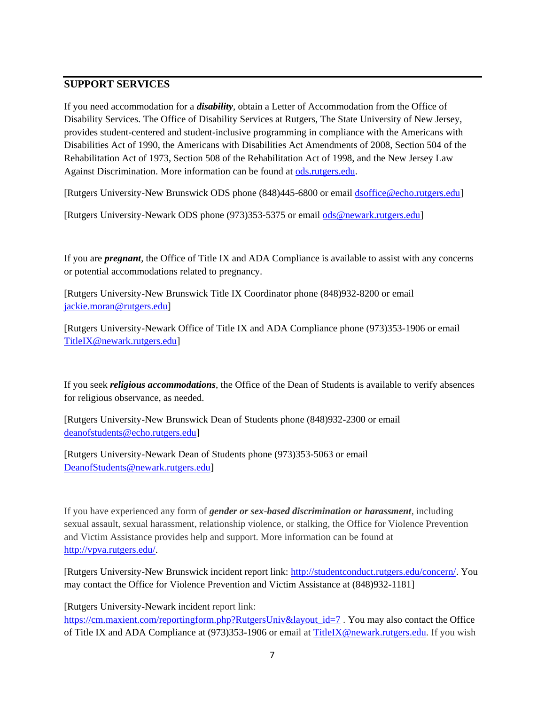# **SUPPORT SERVICES**

If you need accommodation for a *disability*, obtain a Letter of Accommodation from the Office of Disability Services. The Office of Disability Services at Rutgers, The State University of New Jersey, provides student-centered and student-inclusive programming in compliance with the Americans with Disabilities Act of 1990, the Americans with Disabilities Act Amendments of 2008, Section 504 of the Rehabilitation Act of 1973, Section 508 of the Rehabilitation Act of 1998, and the New Jersey Law Against Discrimination. More information can be found at [ods.rutgers.edu.](https://ods.rutgers.edu/)

[Rutgers University-New Brunswick ODS phone (848)445-6800 or email [dsoffice@echo.rutgers.edu\]](mailto:dsoffice@echo.rutgers.edu)

[Rutgers University-Newark ODS phone (973)353-5375 or email [ods@newark.rutgers.edu\]](mailto:ods@newark.rutgers.edu)

If you are *pregnant*, the Office of Title IX and ADA Compliance is available to assist with any concerns or potential accommodations related to pregnancy.

[Rutgers University-New Brunswick Title IX Coordinator phone (848)932-8200 or email jackie.moran@rutgers.edu]

[Rutgers University-Newark Office of Title IX and ADA Compliance phone (973)353-1906 or email [TitleIX@newark.rutgers.edu\]](mailto:TitleIX@newark.rutgers.edu)

If you seek *religious accommodations*, the Office of the Dean of Students is available to verify absences for religious observance, as needed.

[Rutgers University-New Brunswick Dean of Students phone (848)932-2300 or email [deanofstudents@echo.rutgers.edu\]](mailto:deanofstudents@echo.rutgers.edu)

[Rutgers University-Newark Dean of Students phone (973)353-5063 or email [DeanofStudents@newark.rutgers.edu\]](mailto:DeanofStudents@newark.rutgers.edu)

If you have experienced any form of *gender or sex-based discrimination or harassment*, including sexual assault, sexual harassment, relationship violence, or stalking, the Office for Violence Prevention and Victim Assistance provides help and support. More information can be found at [http://vpva.rutgers.edu/.](http://vpva.rutgers.edu/)

[Rutgers University-New Brunswick incident report link: [http://studentconduct.rutgers.edu/concern/.](http://studentconduct.rutgers.edu/concern/) You may contact the Office for Violence Prevention and Victim Assistance at (848)932-1181]

[Rutgers University-Newark incident report link: [https://cm.maxient.com/reportingform.php?RutgersUniv&layout\\_id=7](https://cm.maxient.com/reportingform.php?RutgersUniv&layout_id=7). You may also contact the Office of Title IX and ADA Compliance at (973)353-1906 or email at [TitleIX@newark.rutgers.edu.](mailto:TitleIX@newark.rutgers.edu) If you wish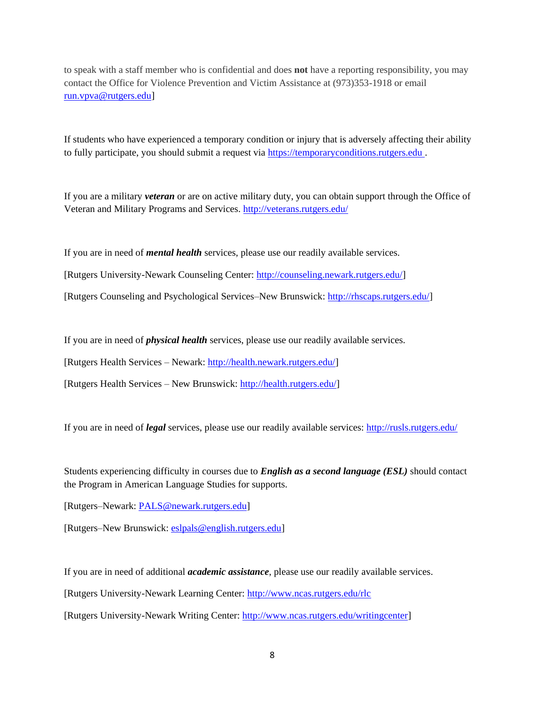to speak with a staff member who is confidential and does **not** have a reporting responsibility, you may contact the Office for Violence Prevention and Victim Assistance at (973)353-1918 or email [run.vpva@rutgers.edu\]](mailto:run.vpva@rutgers.edu)

If students who have experienced a temporary condition or injury that is adversely affecting their ability to fully participate, you should submit a request via [https://temporaryconditions.rutgers.edu](https://temporaryconditions.rutgers.edu/) .

If you are a military *veteran* or are on active military duty, you can obtain support through the Office of Veteran and Military Programs and Services.<http://veterans.rutgers.edu/>

If you are in need of *mental health* services, please use our readily available services.

[Rutgers University-Newark Counseling Center: [http://counseling.newark.rutgers.edu/\]](http://counseling.newark.rutgers.edu/)

[Rutgers Counseling and Psychological Services–New Brunswick: [http://rhscaps.rutgers.edu/\]](http://rhscaps.rutgers.edu/)

If you are in need of *physical health* services, please use our readily available services.

[Rutgers Health Services – Newark: [http://health.newark.rutgers.edu/\]](http://health.newark.rutgers.edu/)

[Rutgers Health Services – New Brunswick: [http://health.rutgers.edu/\]](http://health.rutgers.edu/)

If you are in need of *legal* services, please use our readily available services:<http://rusls.rutgers.edu/>

Students experiencing difficulty in courses due to *English as a second language (ESL)* should contact the Program in American Language Studies for supports.

[Rutgers–Newark: [PALS@newark.rutgers.edu\]](mailto:PALS@newark.rutgers.edu)

[Rutgers–New Brunswick: eslpals@english.rutgers.edu]

If you are in need of additional *academic assistance*, please use our readily available services.

[Rutgers University-Newark Learning Center:<http://www.ncas.rutgers.edu/rlc>

[Rutgers University-Newark Writing Center: [http://www.ncas.rutgers.edu/writingcenter\]](http://www.ncas.rutgers.edu/writingcenter)